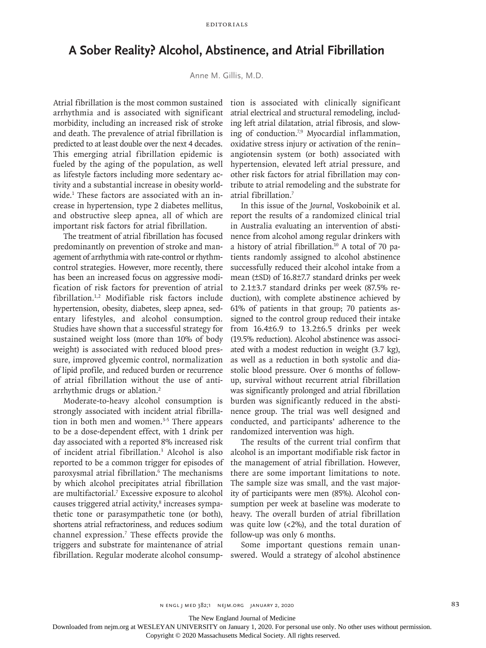## **A Sober Reality? Alcohol, Abstinence, and Atrial Fibrillation**

Anne M. Gillis, M.D.

Atrial fibrillation is the most common sustained arrhythmia and is associated with significant morbidity, including an increased risk of stroke and death. The prevalence of atrial fibrillation is predicted to at least double over the next 4 decades. This emerging atrial fibrillation epidemic is fueled by the aging of the population, as well as lifestyle factors including more sedentary activity and a substantial increase in obesity worldwide.1 These factors are associated with an increase in hypertension, type 2 diabetes mellitus, and obstructive sleep apnea, all of which are important risk factors for atrial fibrillation.

The treatment of atrial fibrillation has focused predominantly on prevention of stroke and management of arrhythmia with rate-control or rhythmcontrol strategies. However, more recently, there has been an increased focus on aggressive modification of risk factors for prevention of atrial fibrillation.1,2 Modifiable risk factors include hypertension, obesity, diabetes, sleep apnea, sedentary lifestyles, and alcohol consumption. Studies have shown that a successful strategy for sustained weight loss (more than 10% of body weight) is associated with reduced blood pressure, improved glycemic control, normalization of lipid profile, and reduced burden or recurrence of atrial fibrillation without the use of antiarrhythmic drugs or ablation.2

Moderate-to-heavy alcohol consumption is strongly associated with incident atrial fibrillation in both men and women. $3-5$  There appears to be a dose-dependent effect, with 1 drink per day associated with a reported 8% increased risk of incident atrial fibrillation.3 Alcohol is also reported to be a common trigger for episodes of paroxysmal atrial fibrillation.6 The mechanisms by which alcohol precipitates atrial fibrillation are multifactorial.7 Excessive exposure to alcohol causes triggered atrial activity,<sup>8</sup> increases sympathetic tone or parasympathetic tone (or both), shortens atrial refractoriness, and reduces sodium channel expression.7 These effects provide the triggers and substrate for maintenance of atrial fibrillation. Regular moderate alcohol consump-

tion is associated with clinically significant atrial electrical and structural remodeling, including left atrial dilatation, atrial fibrosis, and slowing of conduction.7,9 Myocardial inflammation, oxidative stress injury or activation of the renin– angiotensin system (or both) associated with hypertension, elevated left atrial pressure, and other risk factors for atrial fibrillation may contribute to atrial remodeling and the substrate for atrial fibrillation.7

In this issue of the *Journal*, Voskoboinik et al. report the results of a randomized clinical trial in Australia evaluating an intervention of abstinence from alcohol among regular drinkers with a history of atrial fibrillation.10 A total of 70 patients randomly assigned to alcohol abstinence successfully reduced their alcohol intake from a mean (±SD) of 16.8±7.7 standard drinks per week to 2.1±3.7 standard drinks per week (87.5% reduction), with complete abstinence achieved by 61% of patients in that group; 70 patients assigned to the control group reduced their intake from 16.4±6.9 to 13.2±6.5 drinks per week (19.5% reduction). Alcohol abstinence was associated with a modest reduction in weight (3.7 kg), as well as a reduction in both systolic and diastolic blood pressure. Over 6 months of followup, survival without recurrent atrial fibrillation was significantly prolonged and atrial fibrillation burden was significantly reduced in the abstinence group. The trial was well designed and conducted, and participants' adherence to the randomized intervention was high.

The results of the current trial confirm that alcohol is an important modifiable risk factor in the management of atrial fibrillation. However, there are some important limitations to note. The sample size was small, and the vast majority of participants were men (85%). Alcohol consumption per week at baseline was moderate to heavy. The overall burden of atrial fibrillation was quite low  $\left($  <2%), and the total duration of follow-up was only 6 months.

Some important questions remain unanswered. Would a strategy of alcohol abstinence

The New England Journal of Medicine

Downloaded from nejm.org at WESLEYAN UNIVERSITY on January 1, 2020. For personal use only. No other uses without permission.

Copyright © 2020 Massachusetts Medical Society. All rights reserved.